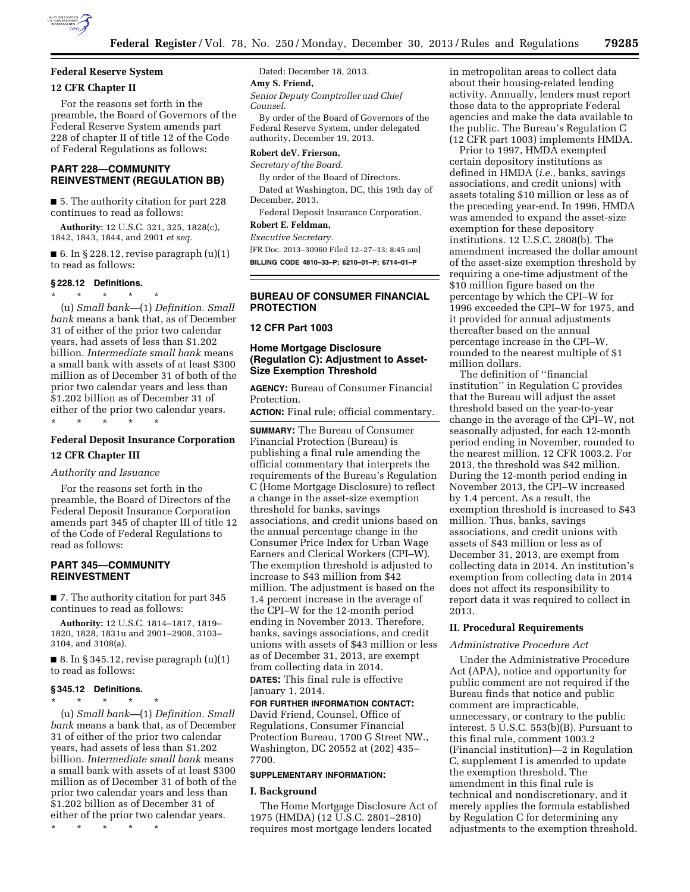

## **Federal Reserve System**

### **12 CFR Chapter II**

For the reasons set forth in the preamble, the Board of Governors of the Federal Reserve System amends part 228 of chapter II of title 12 of the Code of Federal Regulations as follows:

## **PART 228—COMMUNITY REINVESTMENT (REGULATION BB)**

■ 5. The authority citation for part 228 continues to read as follows:

**Authority:** 12 U.S.C. 321, 325, 1828(c), 1842, 1843, 1844, and 2901 *et seq.* 

■ 6. In § 228.12, revise paragraph  $(u)(1)$ to read as follows:

## **§ 228.12 Definitions.**

\* \* \* \* \*

(u) *Small bank*—(1) *Definition. Small bank* means a bank that, as of December 31 of either of the prior two calendar years, had assets of less than \$1.202 billion. *Intermediate small bank* means a small bank with assets of at least \$300 million as of December 31 of both of the prior two calendar years and less than \$1.202 billion as of December 31 of either of the prior two calendar years. \* \* \* \* \*

## **Federal Deposit Insurance Corporation 12 CFR Chapter III**

#### *Authority and Issuance*

For the reasons set forth in the preamble, the Board of Directors of the Federal Deposit Insurance Corporation amends part 345 of chapter III of title 12 of the Code of Federal Regulations to read as follows:

## **PART 345—COMMUNITY REINVESTMENT**

■ 7. The authority citation for part 345 continues to read as follows:

**Authority:** 12 U.S.C. 1814–1817, 1819– 1820, 1828, 1831u and 2901–2908, 3103– 3104, and 3108(a).

 $\blacksquare$  8. In § 345.12, revise paragraph  $(u)(1)$ to read as follows:

**§ 345.12 Definitions.**  \* \* \* \* \* (u) *Small bank*—(1) *Definition. Small bank* means a bank that, as of December 31 of either of the prior two calendar years, had assets of less than \$1.202 billion. *Intermediate small bank* means a small bank with assets of at least \$300 million as of December 31 of both of the prior two calendar years and less than \$1.202 billion as of December 31 of either of the prior two calendar years.

\* \* \* \* \*

Dated: December 18, 2013.

#### **Amy S. Friend,**

*Senior Deputy Comptroller and Chief Counsel.* 

By order of the Board of Governors of the Federal Reserve System, under delegated authority, December 19, 2013.

#### **Robert deV. Frierson,**

*Secretary of the Board.* 

By order of the Board of Directors.

Dated at Washington, DC, this 19th day of December, 2013.

Federal Deposit Insurance Corporation. **Robert E. Feldman,** 

## *Executive Secretary.*

[FR Doc. 2013–30960 Filed 12–27–13; 8:45 am] **BILLING CODE 4810–33–P; 6210–01–P; 6714–01–P** 

## **BUREAU OF CONSUMER FINANCIAL PROTECTION**

#### **12 CFR Part 1003**

## **Home Mortgage Disclosure (Regulation C): Adjustment to Asset-Size Exemption Threshold**

**AGENCY:** Bureau of Consumer Financial Protection.

**ACTION:** Final rule; official commentary.

**SUMMARY:** The Bureau of Consumer Financial Protection (Bureau) is publishing a final rule amending the official commentary that interprets the requirements of the Bureau's Regulation C (Home Mortgage Disclosure) to reflect a change in the asset-size exemption threshold for banks, savings associations, and credit unions based on the annual percentage change in the Consumer Price Index for Urban Wage Earners and Clerical Workers (CPI–W). The exemption threshold is adjusted to increase to \$43 million from \$42 million. The adjustment is based on the 1.4 percent increase in the average of the CPI–W for the 12-month period ending in November 2013. Therefore, banks, savings associations, and credit unions with assets of \$43 million or less as of December 31, 2013, are exempt from collecting data in 2014. **DATES:** This final rule is effective January 1, 2014.

## **FOR FURTHER INFORMATION CONTACT:**

David Friend, Counsel, Office of Regulations, Consumer Financial Protection Bureau, 1700 G Street NW., Washington, DC 20552 at (202) 435– 7700.

#### **SUPPLEMENTARY INFORMATION:**

#### **I. Background**

The Home Mortgage Disclosure Act of 1975 (HMDA) (12 U.S.C. 2801–2810) requires most mortgage lenders located

in metropolitan areas to collect data about their housing-related lending activity. Annually, lenders must report those data to the appropriate Federal agencies and make the data available to the public. The Bureau's Regulation C (12 CFR part 1003) implements HMDA.

Prior to 1997, HMDA exempted certain depository institutions as defined in HMDA (*i.e.,* banks, savings associations, and credit unions) with assets totaling \$10 million or less as of the preceding year-end. In 1996, HMDA was amended to expand the asset-size exemption for these depository institutions. 12 U.S.C. 2808(b). The amendment increased the dollar amount of the asset-size exemption threshold by requiring a one-time adjustment of the \$10 million figure based on the percentage by which the CPI–W for 1996 exceeded the CPI–W for 1975, and it provided for annual adjustments thereafter based on the annual percentage increase in the CPI–W, rounded to the nearest multiple of \$1 million dollars.

The definition of ''financial institution'' in Regulation C provides that the Bureau will adjust the asset threshold based on the year-to-year change in the average of the CPI–W, not seasonally adjusted, for each 12-month period ending in November, rounded to the nearest million. 12 CFR 1003.2. For 2013, the threshold was \$42 million. During the 12-month period ending in November 2013, the CPI–W increased by 1.4 percent. As a result, the exemption threshold is increased to \$43 million. Thus, banks, savings associations, and credit unions with assets of \$43 million or less as of December 31, 2013, are exempt from collecting data in 2014. An institution's exemption from collecting data in 2014 does not affect its responsibility to report data it was required to collect in 2013.

#### **II. Procedural Requirements**

#### *Administrative Procedure Act*

Under the Administrative Procedure Act (APA), notice and opportunity for public comment are not required if the Bureau finds that notice and public comment are impracticable, unnecessary, or contrary to the public interest. 5 U.S.C. 553(b)(B). Pursuant to this final rule, comment 1003.2 (Financial institution)—2 in Regulation C, supplement I is amended to update the exemption threshold. The amendment in this final rule is technical and nondiscretionary, and it merely applies the formula established by Regulation C for determining any adjustments to the exemption threshold.